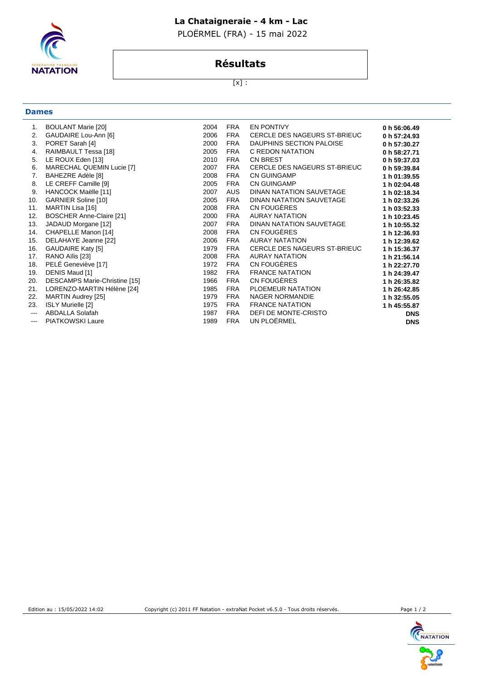### **La Chataigneraie - 4 km - Lac**

PLOËRMEL (FRA) - 15 mai 2022



## **Résultats**

 $[x]$  :

|  | w<br>e e |
|--|----------|

| 1.                | <b>BOULANT Marie [20]</b>       | 2004 | <b>FRA</b> | <b>EN PONTIVY</b>            | 0 h 56:06.49 |
|-------------------|---------------------------------|------|------------|------------------------------|--------------|
| 2.                | GAUDAIRE Lou-Ann [6]            | 2006 | <b>FRA</b> | CERCLE DES NAGEURS ST-BRIEUC | 0 h 57:24.93 |
| 3.                | PORET Sarah [4]                 | 2000 | <b>FRA</b> | DAUPHINS SECTION PALOISE     | 0 h 57:30.27 |
| 4.                | RAIMBAULT Tessa [18]            | 2005 | <b>FRA</b> | C REDON NATATION             | 0 h 58:27.71 |
| 5.                | LE ROUX Eden [13]               | 2010 | <b>FRA</b> | <b>CN BREST</b>              | 0 h 59:37.03 |
| 6.                | MARECHAL QUEMIN Lucie [7]       | 2007 | <b>FRA</b> | CERCLE DES NAGEURS ST-BRIEUC | 0 h 59:39.84 |
| 7.                | BAHEZRE Adèle [8]               | 2008 | <b>FRA</b> | <b>CN GUINGAMP</b>           | 1 h 01:39.55 |
| 8.                | LE CREFF Camille [9]            | 2005 | <b>FRA</b> | <b>CN GUINGAMP</b>           | 1 h 02:04.48 |
| 9.                | HANCOCK Maëlle [11]             | 2007 | <b>AUS</b> | DINAN NATATION SAUVETAGE     | 1 h 02:18.34 |
| 10.               | GARNIER Soline [10]             | 2005 | FRA        | DINAN NATATION SAUVETAGE     | 1 h 02:33.26 |
| 11.               | MARTIN Lisa [16]                | 2008 | <b>FRA</b> | CN FOUGÈRES                  | 1 h 03:52.33 |
| 12.               | <b>BOSCHER Anne-Claire [21]</b> | 2000 | <b>FRA</b> | <b>AURAY NATATION</b>        | 1 h 10:23.45 |
| 13.               | JADAUD Morgane [12]             | 2007 | <b>FRA</b> | DINAN NATATION SAUVETAGE     | 1 h 10:55.32 |
| 14.               | CHAPELLE Manon [14]             | 2008 | <b>FRA</b> | CN FOUGÈRES                  | 1 h 12:36.93 |
| 15.               | DELAHAYE Jeanne [22]            | 2006 | <b>FRA</b> | AURAY NATATION               | 1 h 12:39.62 |
| 16.               | <b>GAUDAIRE Katy [5]</b>        | 1979 | <b>FRA</b> | CERCLE DES NAGEURS ST-BRIEUC | 1 h 15:36.37 |
| 17.               | RANO Aïlis [23]                 | 2008 | <b>FRA</b> | <b>AURAY NATATION</b>        | 1 h 21:56.14 |
| 18.               | PELÉ Geneviève [17]             | 1972 | <b>FRA</b> | CN FOUGÈRES                  | 1 h 22:27.70 |
| 19.               | DENIS Maud [1]                  | 1982 | <b>FRA</b> | <b>FRANCE NATATION</b>       | 1 h 24:39.47 |
| 20.               | DESCAMPS Marie-Christine [15]   | 1966 | <b>FRA</b> | CN FOUGÈRES                  | 1 h 26:35.82 |
| 21.               | LORENZO-MARTIN Hélène [24]      | 1985 | <b>FRA</b> | PLOEMEUR NATATION            | 1 h 26:42.85 |
| 22.               | MARTIN Audrey [25]              | 1979 | <b>FRA</b> | <b>NAGER NORMANDIE</b>       | 1 h 32:55.05 |
| 23.               | ISLY Murielle [2]               | 1975 | <b>FRA</b> | <b>FRANCE NATATION</b>       | 1 h 45:55.87 |
| $\qquad \qquad -$ | <b>ABDALLA Solafah</b>          | 1987 | <b>FRA</b> | DEFI DE MONTE-CRISTO         | <b>DNS</b>   |
| $\qquad \qquad -$ | PIATKOWSKI Laure                | 1989 | <b>FRA</b> | UN PLOËRMEL                  | <b>DNS</b>   |